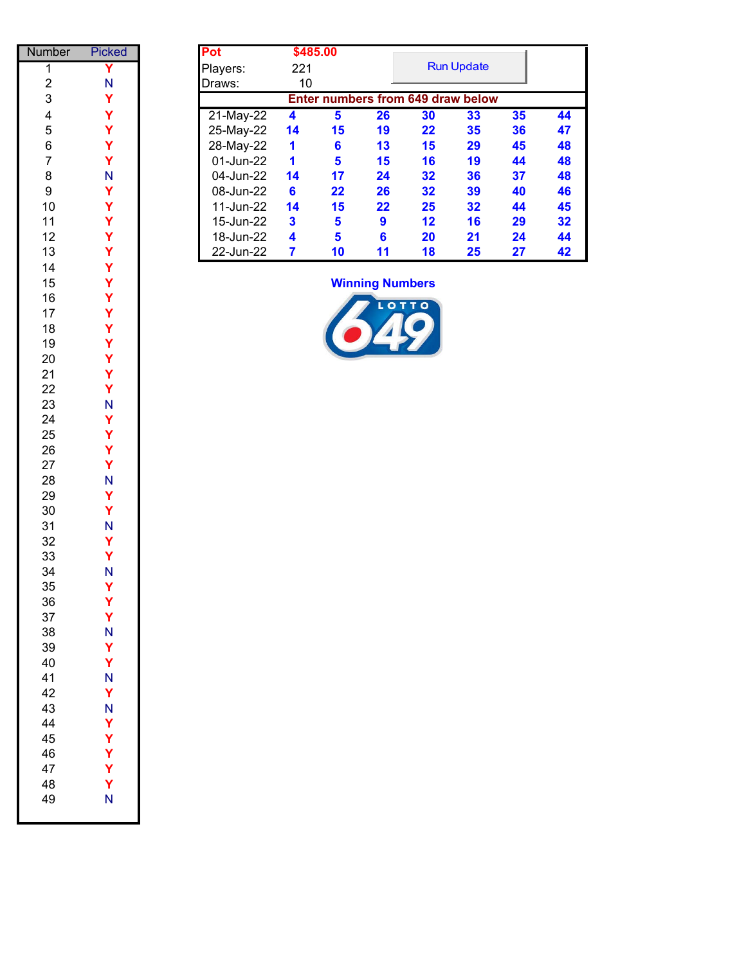| Number                  | Picked       | Pot                            |
|-------------------------|--------------|--------------------------------|
| $\overline{\mathbf{1}}$ | Y            | Play                           |
| $\overline{\mathbf{c}}$ | N<br>Y       | Dra                            |
| 3                       |              |                                |
| 4                       | Y            | $\overline{21}$                |
| 5                       | Y            | 25                             |
| 6<br>$\overline{7}$     | Y            | 28                             |
| 8                       |              | $\mathbf{0}$<br>0 <sup>4</sup> |
| 9                       |              | $\mathbf{0}$                   |
| 10                      |              | 1 <sup>1</sup>                 |
| 11                      |              | 1                              |
| 12                      |              | 16                             |
| 13                      | ススス ススススス バス | $\overline{2}$                 |
| 14                      |              |                                |
| 15                      |              |                                |
| 16                      |              |                                |
| 17                      | Y            |                                |
| 18                      | Y            |                                |
| 19                      |              |                                |
| 20<br>21                |              |                                |
| 22                      | ススス ハススス     |                                |
| 23                      |              |                                |
| 24                      |              |                                |
| 25                      |              |                                |
| 26                      |              |                                |
| 27                      | Y<br>N       |                                |
| 28                      |              |                                |
| 29                      | Y            |                                |
| 30                      | Y            |                                |
| 31                      | N<br>Y       |                                |
| 32<br>33                |              |                                |
| 34                      | Y<br>N       |                                |
| 35                      | Υ            |                                |
| 36                      | Y            |                                |
| 37                      | Y            |                                |
| 38                      | N            |                                |
| 39                      | Y            |                                |
| 40                      | Y            |                                |
| 41                      | N            |                                |
| 42                      | Y            |                                |
| 43<br>44                | N<br>Ý       |                                |
| 45                      | Y            |                                |
| 46                      | Ý            |                                |
| 47                      | Ý            |                                |
| 48                      | Ý            |                                |
| 49                      | Ń            |                                |
|                         |              |                                |

| mber           | <b>Picked</b> | Pot       |     | \$485.00                          |    |    |                   |    |    |
|----------------|---------------|-----------|-----|-----------------------------------|----|----|-------------------|----|----|
|                |               | Players:  | 221 |                                   |    |    | <b>Run Update</b> |    |    |
| 2              | N             | Draws:    | 10  |                                   |    |    |                   |    |    |
| 3              |               |           |     | Enter numbers from 649 draw below |    |    |                   |    |    |
| $\overline{4}$ |               | 21-May-22 | 4   | 5                                 | 26 | 30 | 33                | 35 | 44 |
| 5              |               | 25-May-22 | 14  | 15                                | 19 | 22 | 35                | 36 | 47 |
| 6              |               | 28-May-22 | 1   | 6                                 | 13 | 15 | 29                | 45 | 48 |
|                |               | 01-Jun-22 | 1   | 5                                 | 15 | 16 | 19                | 44 | 48 |
| 8              | N             | 04-Jun-22 | 14  | 17                                | 24 | 32 | 36                | 37 | 48 |
| 9              |               | 08-Jun-22 | 6   | $22 \,$                           | 26 | 32 | 39                | 40 | 46 |
| 10             |               | 11-Jun-22 | 14  | 15                                | 22 | 25 | 32                | 44 | 45 |
| 11             |               | 15-Jun-22 | 3   | 5                                 | 9  | 12 | 16                | 29 | 32 |
| 12             |               | 18-Jun-22 | 4   | 5                                 | 6  | 20 | 21                | 24 | 44 |
| 13             |               | 22-Jun-22 | 7   | 10                                | 11 | 18 | 25                | 27 | 42 |

#### **Winning Numbers**

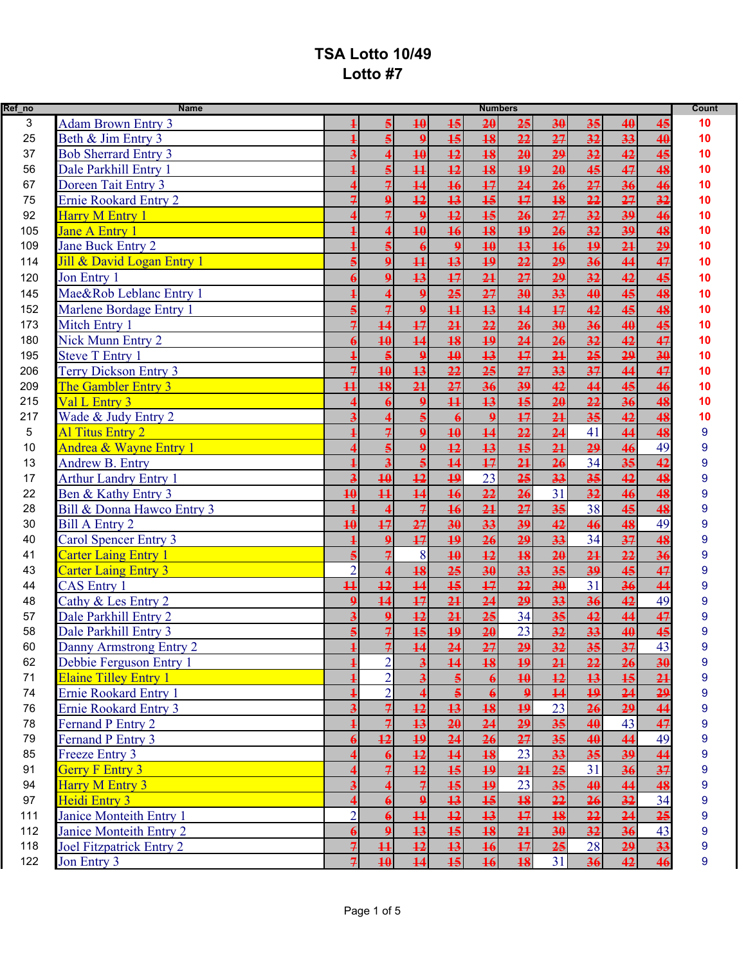| Ref_no | <b>Name</b>                     |                          |                          |                         |                       | <b>Numbers</b>  |                  |                 |                 |                 |                 | Count            |
|--------|---------------------------------|--------------------------|--------------------------|-------------------------|-----------------------|-----------------|------------------|-----------------|-----------------|-----------------|-----------------|------------------|
| 3      | <b>Adam Brown Entry 3</b>       |                          | 5                        | 40                      | 15                    | 20              | 25               | 30              | 35              | 40              | 45              | 10               |
| 25     | Beth & Jim Entry 3              |                          |                          | $\boldsymbol{9}$        | 15                    | 18              | 22               | 27              | 32              | 33              | 40              | 10               |
| 37     | <b>Bob Sherrard Entry 3</b>     |                          |                          | 40                      | 12                    | 18              | $\overline{20}$  | 29              | 32              | 42              | 45              | 10               |
| 56     | Dale Parkhill Entry 1           |                          |                          | $\overline{11}$         | $\overline{12}$       | $\overline{18}$ | 19               | 20              | 45              | 47              | 48              | 10               |
| 67     | Doreen Tait Entry 3             |                          | $\overline{\mathcal{F}}$ | 14                      | 16                    | $\overline{17}$ | $\overline{24}$  | 26              | 27              | $\overline{36}$ | 46              | 10               |
| 75     | <b>Ernie Rookard Entry 2</b>    |                          | $\Omega$                 | 12                      | 13                    | 15              | 17               | 18              | 22              | $\overline{27}$ | 32              | 10               |
| 92     | Harry M Entry 1                 |                          |                          | $\boldsymbol{Q}$        | $\overline{12}$       | 15              | 26               | 27              | 32              | 39              | 46              | 10               |
| 105    | <b>Jane A Entry 1</b>           |                          |                          | 40                      | 16                    | 18              | 19               | 26              | 32              | $\overline{39}$ | 48              | 10               |
| 109    | Jane Buck Entry 2               |                          |                          |                         | $\mathbf{9}$          | 40              | 13               | 16              | $\overline{19}$ | 21              | 29              | 10               |
| 114    | Jill & David Logan Entry 1      |                          | $\mathbf{Q}$             | $\overline{11}$         | $\overline{13}$       | $\overline{19}$ | $\overline{22}$  | 29              | 36              | 44              | 47              | 10               |
| 120    | Jon Entry 1                     |                          | $\Omega$                 | 13                      | 17                    | 21              | 27               | 29              | 32              | 42              | 45              | 10               |
| 145    | Mae&Rob Leblanc Entry 1         |                          |                          | $\mathbf{9}$            | 25                    | 27              | 30               | 33              | 40              | 45              | 48              | 10               |
| 152    | Marlene Bordage Entry 1         |                          | $\overline{\mathcal{F}}$ | $\boldsymbol{9}$        | $\overline{11}$       | 13              | $\overline{14}$  | 17              | 42              | 45              | 48              | 10               |
| 173    | Mitch Entry 1                   | $\overline{\mathcal{F}}$ | 14                       | 17                      | 21                    | 22              | 26               | 30              | 36              | 40              | 45              | 10               |
| 180    | <b>Nick Munn Entry 2</b>        |                          | 40                       | 14                      | $\overline{18}$       | $\overline{19}$ | $\overline{24}$  | 26              | 32              | 42              | 47              | 10               |
| 195    | <b>Steve T Entry 1</b>          |                          |                          | $\mathbf{Q}$            | 40                    | 13              | 17               | 2 <sub>1</sub>  | 25              | 29              | 30              | 10               |
| 206    | Terry Dickson Entry 3           | $\overline{7}$           | $\overline{10}$          | $\overline{13}$         | 22                    | 25              | 27               | 33              | $\overline{37}$ | 44              | 47              | 10               |
| 209    | The Gambler Entry 3             | $\overline{11}$          | 18                       | 2 <sub>1</sub>          | $\overline{27}$       | 36              | $\overline{39}$  | 42              | 44              | 45              | 46              | 10               |
| 215    | Val L Entry 3                   |                          |                          | $\overline{9}$          | $\overline{11}$       | 13              | 15               | 20              | 22              | 36              | 48              | 10               |
| 217    | Wade & Judy Entry 2             |                          |                          | $\overline{5}$          | $\boldsymbol{\theta}$ | $\overline{9}$  | $\overline{17}$  | 2 <sub>1</sub>  | $\overline{35}$ | 42              | 48              | 10               |
| 5      | <b>Al Titus Entry 2</b>         |                          |                          | $\Omega$                | $\overline{10}$       | $\overline{14}$ | 22               | 24              | 41              | 44              | 48              | 9                |
| 10     | Andrea & Wayne Entry 1          |                          |                          | $\boldsymbol{9}$        | $\overline{12}$       | $\overline{13}$ | $\overline{15}$  | 24              | $\overline{29}$ | 46              | 49              | 9                |
| 13     | Andrew B. Entry                 |                          | $\overline{\mathbf{3}}$  | $\overline{\mathbf{5}}$ | $\overline{14}$       | 17              | $\overline{21}$  | 26              | 34              | $\overline{35}$ | 42              | 9                |
| 17     | <b>Arthur Landry Entry 1</b>    |                          | 40                       | 12                      | 19                    | 23              | 25               | 33              | 35              | 42              | 48              | 9                |
| 22     | Ben & Kathy Entry 3             | 40                       | $\overline{11}$          | 14                      | 16                    | 22              | 26               | 31              | 32              | 46              | 48              | 9                |
| 28     | Bill & Donna Hawco Entry 3      |                          |                          | $\overline{z}$          | 16                    | 21              | 27               | 35              | 38              | 45              | 48              | 9                |
| 30     | <b>Bill A Entry 2</b>           | $\overline{10}$          | $\overline{17}$          | 27                      | $\overline{30}$       | 33              | $\overline{39}$  | 42              | 46              | 48              | 49              | 9                |
| 40     | Carol Spencer Entry 3           |                          |                          | 17                      | 19                    | 26              | 29               | 33              | 34              | $\overline{37}$ | 48              | 9                |
| 41     | <b>Carter Laing Entry 1</b>     |                          |                          | 8                       | 40                    | 12              | 18               | 20              | 21              | 22              | 36              | 9                |
| 43     | <b>Carter Laing Entry 3</b>     | $\overline{2}$           |                          | 18                      | 25                    | 30              | 33               | 35              | 39              | 45              | 47              | 9                |
| 44     | <b>CAS Entry 1</b>              | $\overline{11}$          | 12                       | $\overline{14}$         | 15                    | $\overline{17}$ | 22               | 30              | 31              | 36              | 44              | 9                |
| 48     | Cathy & Les Entry 2             | $\mathbf{Q}$             | $\overline{14}$          | 17                      | $\overline{21}$       | $\overline{24}$ | 29               | $\overline{33}$ | $\overline{36}$ | 42              | 49              | 9                |
| 57     | Dale Parkhill Entry 2           | $\overline{\mathbf{3}}$  | $\boldsymbol{9}$         | 12                      | 21                    | 25              | 34               | 35              | 42              | 44              | 47              | 9                |
| 58     | Dale Parkhill Entry 3           |                          | $\overline{\mathcal{F}}$ | 15                      | $\overline{19}$       | 20              | 23               | 32              | 33              | 40              | 45              | 9                |
| 60     | Danny Armstrong Entry 2         |                          | $\overline{z}$           | $\overline{14}$         | 24                    | 27              | 29               | 32              | 35              | 27<br>ᡨ         | 43              | q                |
| 62     | Debbie Ferguson Entry 1         |                          | $\overline{2}$           | $\overline{\mathbf{3}}$ | $\overline{14}$       | $\overline{18}$ | 19               | 24              | 22              | $\overline{26}$ | 30              | 9                |
| 71     | <b>Elaine Tilley Entry 1</b>    |                          | $\overline{2}$           |                         |                       |                 | $\overline{10}$  | 12              | 13              | 15              | $\overline{21}$ | 9                |
| 74     | <b>Ernie Rookard Entry 1</b>    |                          | $\overline{2}$           |                         |                       |                 | $\boldsymbol{9}$ | $\overline{14}$ | 19              | 24              | 29              | 9                |
| 76     | Ernie Rookard Entry 3           |                          | $\overline{\mathcal{F}}$ | 12                      | 13                    | 18              | $\overline{19}$  | 23              | 26              | 29              | 44              | $\boldsymbol{9}$ |
| 78     | Fernand P Entry 2               |                          | $\overline{\mathcal{F}}$ | 13                      | 20                    | 24              | 29               | 35              | 40              | 43              | 47              | 9                |
| 79     | Fernand P Entry 3               |                          | $\overline{12}$          | $\overline{19}$         | $\overline{24}$       | 26              | 27               | 35              | 40              | 44              | 49              | 9                |
| 85     | <b>Freeze Entry 3</b>           |                          |                          | 12                      | $\overline{14}$       | 18              | 23               | 33              | $\overline{35}$ | $\overline{39}$ | 44              | $\boldsymbol{9}$ |
| 91     | <b>Gerry F Entry 3</b>          |                          |                          | 12                      | $\overline{15}$       | $\overline{19}$ | 2 <sub>1</sub>   | 25              | 31              | 36              | 37              | 9                |
| 94     | Harry M Entry 3                 |                          |                          |                         | $\overline{15}$       | $\overline{19}$ | 23               | 35              | 40              | 44              | 48              | 9                |
| 97     | Heidi Entry 3                   |                          |                          | $\mathbf{Q}$            | 13                    | 15              | 18               | 22              | 26              | 32              | 34              | 9                |
| 111    | Janice Monteith Entry 1         | $\overline{2}$           |                          | $\overline{11}$         | $\overline{12}$       | 13              | 17               | 18              | 22              | 24              | 25              | 9                |
| 112    | Janice Monteith Entry 2         |                          | $\mathbf{Q}$             | 13                      | $\overline{15}$       | $\overline{18}$ | $\overline{21}$  | 30              | $\overline{32}$ | $\overline{36}$ | 43              | 9                |
| 118    | <b>Joel Fitzpatrick Entry 2</b> |                          | $\overline{11}$          | 12                      | 13                    | 16              | 17               | 25              | 28              | 29              | 33              | 9                |
| 122    | Jon Entry 3                     |                          | 40                       | 44                      | 15                    | 16              | 18               | 31              | 36              | 42              | 46              | 9                |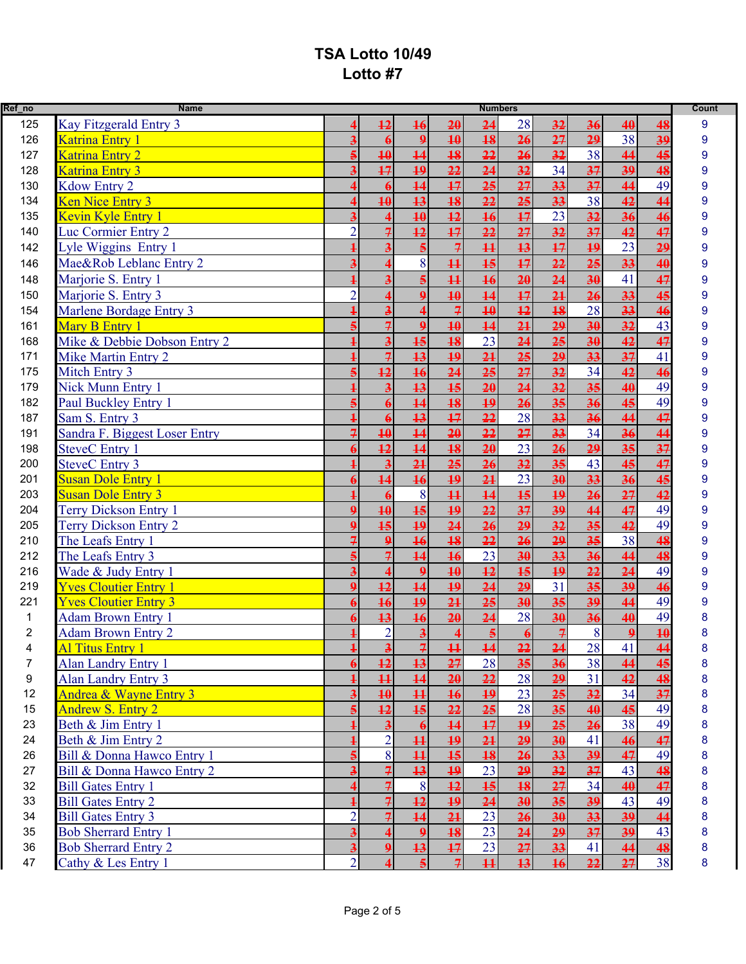| Ref_no                  | <b>Name</b>                   |                | <b>Numbers</b>          |                         |                          |                         |                 |                 | <b>Count</b>               |                 |                |   |
|-------------------------|-------------------------------|----------------|-------------------------|-------------------------|--------------------------|-------------------------|-----------------|-----------------|----------------------------|-----------------|----------------|---|
| 125                     | Kay Fitzgerald Entry 3        |                | $\overline{12}$         | 16                      | 20                       | 24                      | 28              | 32              | 36                         | 40              | 48             | 9 |
| 126                     | Katrina Entry 1               |                |                         | $\Omega$                | 40                       | $\overline{18}$         | 26              | 27              | 29                         | $\overline{38}$ | 39             | 9 |
| 127                     | Katrina Entry 2               |                | $\overline{10}$         | 14                      | 18                       | $\overline{22}$         | 26              | 32              | 38                         | 44              | 45             | 9 |
| 128                     | Katrina Entry 3               |                | 17                      | $\overline{19}$         | $\overline{22}$          | $\overline{24}$         | 32              | $\overline{34}$ | 37                         | $\overline{39}$ | 48             | 9 |
| 130                     | Kdow Entry 2                  |                |                         | 14                      | 17                       | 25                      | 27              | 33              | 37                         | 44              | 49             | 9 |
| 134                     | Ken Nice Entry 3              |                | $\overline{10}$         | 13                      | 18                       | 22                      | 25              | 33              | 38                         | 42              | 44             | 9 |
| 135                     | Kevin Kyle Entry 1            |                |                         | 40                      | $\overline{12}$          | 16                      | 17              | 23              | 32                         | 36              | 46             | 9 |
| 140                     | Luc Cormier Entry 2           | $\mathcal{D}$  | $\overline{7}$          | 12                      | $\overline{17}$          | 22                      | 27              | 32              | 37                         | 42              | 47             | 9 |
| 142                     | Lyle Wiggins Entry 1          |                |                         |                         | $\overline{\mathcal{F}}$ | $\overline{11}$         | 13              | 17              | 19                         | $\overline{23}$ | 29             | 9 |
| 146                     | Mae&Rob Leblanc Entry 2       |                |                         | 8                       | $\overline{11}$          | $\overline{15}$         | 17              | 22              | $\overline{25}$            | $\overline{33}$ | 40             | 9 |
| 148                     | Marjorie S. Entry 1           |                | $\overline{\mathbf{3}}$ |                         | $\overline{11}$          | 16                      | 20              | 24              | 30                         | 41              | 47             | 9 |
| 150                     | Marjorie S. Entry 3           |                |                         | $\Omega$                | 40                       | $\overline{14}$         | 17              | 2 <sub>1</sub>  | 26                         | $\overline{33}$ | 45             | 9 |
| 154                     | Marlene Bordage Entry 3       |                |                         | 4                       | $\overline{\mathcal{F}}$ | 40                      | 12              | 18              | 28                         | 33              | 46             | 9 |
| 161                     | Mary B Entry 1                |                | $\overline{7}$          | $\mathbf{Q}$            | $\overline{10}$          | 14                      | 2 <sub>1</sub>  | 29              | 30                         | 32              | 43             | 9 |
| 168                     | Mike & Debbie Dobson Entry 2  |                | $\overline{\mathbf{3}}$ | 15                      | 18                       | 23                      | 24              | 25              | 30                         | 42              | 47             | 9 |
| 171                     | Mike Martin Entry 2           |                | $\overline{7}$          | 13                      | $\overline{19}$          | $\overline{21}$         | $\overline{25}$ | $\overline{29}$ | 33                         | 37              | 41             | 9 |
| 175                     | Mitch Entry 3                 |                | $\overline{12}$         | 16                      | $\overline{24}$          | $\overline{25}$         | 27              | $\overline{32}$ | 34                         | 42              | 46             | 9 |
| 179                     | Nick Munn Entry 1             |                |                         | 13                      | 15                       | 20                      | $\overline{24}$ | 32              | $\overline{35}$            | 40              | 49             | 9 |
| 182                     | Paul Buckley Entry 1          |                |                         | 14                      | 18                       | $\overline{19}$         | 26              | 35              | 36                         | 45              | 49             | 9 |
| 187                     | Sam S. Entry 3                |                |                         | 13                      | $\overline{17}$          | $\overline{22}$         | 28              | 33              | 36                         | 44              | 47             | 9 |
| 191                     | Sandra F. Biggest Loser Entry |                | $\overline{10}$         | $\overline{14}$         | $\overline{20}$          | $\overline{22}$         | $\overline{27}$ | $\overline{33}$ | 34                         | $\overline{36}$ | 44             | 9 |
| 198                     | <b>SteveC</b> Entry 1         |                | $\overline{12}$         | 14                      | 18                       | 20                      | 23              | 26              | 29                         | 35              | 37             | 9 |
| 200                     | <b>SteveC</b> Entry 3         |                |                         | 2 <sub>1</sub>          | 25                       | 26                      | 32              | 35              | 43                         | 45              | 47             | 9 |
| 201                     | <b>Susan Dole Entry 1</b>     |                | $\overline{14}$         | 16                      | $\overline{19}$          | 2 <sub>1</sub>          | 23              | 30              | 33                         | 36              | 45             | 9 |
| 203                     | <b>Susan Dole Entry 3</b>     |                |                         | 8                       | $\overline{11}$          | 14                      | 15              | 19              | 26                         | 27              | 42             | 9 |
| 204                     | Terry Dickson Entry 1         | $\mathbf 0$    | $\overline{10}$         | 15                      | 19                       | $\overline{22}$         | $\overline{37}$ | $\overline{39}$ | 44                         | 47              | 49             | 9 |
| 205                     | <b>Terry Dickson Entry 2</b>  |                | 15                      | 19                      | $\overline{24}$          | 26                      | 29              | 32              | $\overline{\overline{35}}$ | 42              | 49             | 9 |
| 210                     | The Leafs Entry 1             |                |                         | 16                      | 18                       | 22                      | 26              | 29              | 35                         | 38              | 48             | 9 |
| 212                     | The Leafs Entry 3             |                | $\overline{7}$          | 14                      | 16                       | 23                      | 30              | 33              | 36                         | 44              | 48             | 9 |
| 216                     | Wade & Judy Entry 1           |                |                         | $\overline{9}$          | $\overline{10}$          | 12                      | 15              | 19              | 22                         | 24              | 49             | 9 |
| 219                     | <b>Yves Cloutier Entry 1</b>  |                | 12                      | $\overline{14}$         | $\overline{19}$          | $\overline{24}$         | $\overline{29}$ | $\overline{31}$ | $\overline{35}$            | $\overline{39}$ | 46             | 9 |
| 221                     | <b>Yves Cloutier Entry 3</b>  |                | 16                      | 19                      | $\overline{21}$          | 25                      | 30              | 35              | 39                         | 44              | 49             | 9 |
| $\mathbf{1}$            | <b>Adam Brown Entry 1</b>     |                | 13                      | 16                      | 20                       | 24                      | 28              | 30              | 36                         | 40              | 49             |   |
| $\overline{\mathbf{c}}$ | <b>Adam Brown Entry 2</b>     |                | $\overline{2}$          | $\overline{\mathbf{3}}$ | $\overline{\mathbf{4}}$  | $\overline{\mathbf{5}}$ | $\ddot{\theta}$ | $\overline{7}$  | $\vert 8 \vert$            | 9               | 40             |   |
| 4                       | Al Titus Entry 1              |                | $\overline{\mathbf{r}}$ | $\overline{z}$          |                          | $\overline{14}$         | 22              | $\overline{24}$ | 28                         | 41              | $\overline{A}$ |   |
| $\overline{7}$          | Alan Landry Entry 1           |                | $\overline{12}$         | $\overline{13}$         | $\frac{11}{27}$          | 28                      | 35              | $\overline{36}$ | 38                         | 44              | 45             | 8 |
| 9                       | <b>Alan Landry Entry 3</b>    |                | $\overline{11}$         | 14                      | 20                       | 22                      | 28              | 29              | 31                         | 42              | 48             | 8 |
| 12                      | Andrea & Wayne Entry 3        |                | $\overline{10}$         | $\overline{11}$         | 16                       | $\overline{19}$         | 23              | 25              | 32                         | 34              | 37             | 8 |
| 15                      | <b>Andrew S. Entry 2</b>      |                | 12                      | 15                      | 22                       | 25                      | 28              | 35              | 40                         | 45              | 49             | 8 |
| 23                      | Beth & Jim Entry 1            |                |                         |                         | $\overline{14}$          | 17                      | 19              | 25              | 26                         | 38              | 49             | 8 |
| 24                      | Beth & Jim Entry 2            |                | $\overline{2}$          | $\overline{11}$         | 19                       | $\overline{21}$         | 29              | 30              | 41                         | 46              | 47             | 8 |
| 26                      | Bill & Donna Hawco Entry 1    |                | 8                       | $\overline{11}$         | $\overline{15}$          | 18                      | 26              | 33              | 39                         | 47              | 49             | 8 |
| 27                      | Bill & Donna Hawco Entry 2    |                | $\overline{7}$          | 13                      | $\overline{19}$          | 23                      | 29              | 32              | 37                         | 43              | 48             | 8 |
| 32                      | <b>Bill Gates Entry 1</b>     |                | $\overline{7}$          | 8                       | $\overline{12}$          | 15                      | 18              | 27              | 34                         | 40              | 47             | 8 |
| 33                      | <b>Bill Gates Entry 2</b>     |                | $\overline{z}$          | 12                      | 19                       | 24                      | 30              | 35              | 39                         | 43              | 49             | 8 |
| 34                      | <b>Bill Gates Entry 3</b>     | $\overline{2}$ |                         | $\overline{14}$         | 2 <sub>1</sub>           | 23                      | 26              | 30              | 33                         | 39              | 44             | 8 |
| 35                      | <b>Bob Sherrard Entry 1</b>   |                |                         |                         | 18                       | 23                      | $\overline{24}$ | 29              | 37                         | 39              | 43             | 8 |
| 36                      | <b>Bob Sherrard Entry 2</b>   |                |                         | $\overline{13}$         | 17                       | 23                      | 27              | 33              | 41                         | 44              | 48             | 8 |
| 47                      | Cathy & Les Entry 1           | $\overline{2}$ |                         |                         | $\overline{z}$           | $\overline{11}$         | 13              | 16              | 22                         | 27              | 38             | 8 |
|                         |                               |                |                         |                         |                          |                         |                 |                 |                            |                 |                |   |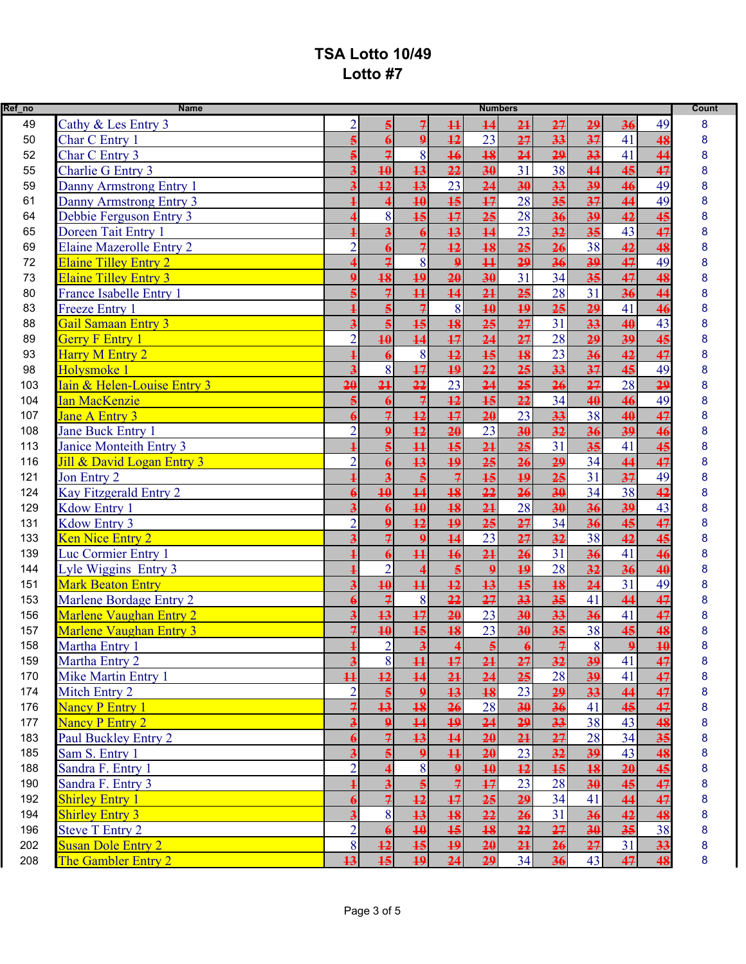| Ref_no | <b>Name</b>                     |                          |                          |                          |                          | <b>Numbers</b>          |                 |                 |                 |                 |         | Count |
|--------|---------------------------------|--------------------------|--------------------------|--------------------------|--------------------------|-------------------------|-----------------|-----------------|-----------------|-----------------|---------|-------|
| 49     | Cathy & Les Entry 3             | $\overline{2}$           |                          | 7                        | $\overline{11}$          | 14                      | 2 <sub>1</sub>  | 27              | 29              | 36              | 49      | 8     |
| 50     | Char C Entry 1                  |                          |                          | $\boldsymbol{9}$         | $\overline{12}$          | $\overline{23}$         | $\overline{27}$ | 33              | $\overline{37}$ | 41              | 48      | 8     |
| 52     | Char C Entry 3                  |                          | $\overline{z}$           | 8                        | 16                       | 18                      | $\overline{24}$ | 29              | 33              | 41              | 44      | 8     |
| 55     | Charlie G Entry 3               |                          | $\overline{10}$          | 13                       | $\overline{22}$          | $\overline{30}$         | $\overline{31}$ | $\overline{38}$ | 44              | 45              | 47      | 8     |
| 59     | Danny Armstrong Entry 1         |                          | $\overline{12}$          | 13                       | 23                       | 24                      | 30              | 33              | 39              | 46              | 49      | 8     |
| 61     | Danny Armstrong Entry 3         |                          | $\overline{\mathbf{4}}$  | 40                       | $\overline{15}$          | 17                      | 28              | 35              | 37              | 44              | 49      | 8     |
| 64     | Debbie Ferguson Entry 3         |                          | 8                        | 15                       | 17                       | 25                      | 28              | 36              | 39              | 42              | 45      | 8     |
| 65     | Doreen Tait Entry 1             |                          | $\overline{\mathbf{3}}$  |                          | 13                       | 14                      | 23              | 32              | 35              | 43              | 47      | 8     |
| 69     | <b>Elaine Mazerolle Entry 2</b> | $\overline{2}$           |                          | $\overline{z}$           | $\overline{12}$          | $\overline{18}$         | $\overline{25}$ | $\overline{26}$ | 38              | 42              | 48      | 8     |
| 72     | <b>Elaine Tilley Entry 2</b>    |                          | $\overline{7}$           | 8                        | $\boldsymbol{9}$         | $\overline{11}$         | 29              | 36              | 39              | 47              | 49      | 8     |
| 73     | <b>Elaine Tilley Entry 3</b>    |                          | 18                       | 19                       | $\overline{20}$          | $\overline{30}$         | 31              | 34              | $\overline{35}$ | 47              | 48      | 8     |
| 80     | France Isabelle Entry 1         |                          | $\overline{\mathcal{F}}$ | $\overline{11}$          | $\overline{14}$          | 21                      | 25              | 28              | 31              | 36              | 44      | 8     |
| 83     | <b>Freeze Entry 1</b>           |                          |                          | $\overline{\mathcal{F}}$ | 8                        | 10                      | 19              | $\overline{25}$ | $\overline{29}$ | 41              | 46      | 8     |
| 88     | <b>Gail Samaan Entry 3</b>      |                          |                          | 15                       | $\overline{18}$          | 25                      | 27              | $\overline{31}$ | $\overline{33}$ | 40              | 43      | 8     |
| 89     | <b>Gerry F Entry 1</b>          | $\mathfrak{D}$           | $\overline{10}$          | 14                       | 17                       | $\overline{24}$         | 27              | 28              | 29              | 39              | 45      | 8     |
| 93     | <b>Harry M Entry 2</b>          |                          |                          | 8                        | $\overline{12}$          | $\overline{15}$         | $\overline{18}$ | $\overline{23}$ | 36              | 42              | 47      | 8     |
| 98     | Holysmoke 1                     |                          | 8                        | 17                       | $\overline{19}$          | 22                      | 25              | 33              | 37              | 45              | 49      | 8     |
| 103    | Iain & Helen-Louise Entry 3     | $\overline{20}$          | 21                       | $\overline{22}$          | 23                       | 24                      | $\overline{25}$ | 26              | 27              | 28              | 29      | 8     |
| 104    | <b>Ian MacKenzie</b>            |                          |                          | $\overline{7}$           | $\overline{12}$          | $\overline{15}$         | $\overline{22}$ | $\overline{34}$ | 40              | 46              | 49      | 8     |
| 107    | <b>Jane A Entry 3</b>           |                          | $\overline{7}$           | 12                       | 17                       | 20                      | 23              | 33              | 38              | 40              | 47      | 8     |
| 108    | Jane Buck Entry 1               | $\overline{2}$           |                          | $\overline{12}$          | $\overline{20}$          | $\overline{23}$         | $\overline{30}$ | $\overline{32}$ | $\overline{36}$ | $\overline{39}$ | 46      | 8     |
| 113    | Janice Monteith Entry 3         |                          |                          | $\overline{11}$          | 15                       | 2 <sub>1</sub>          | 25              | 31              | 35              | 41              | 45      | 8     |
| 116    | Jill & David Logan Entry 3      | $\overline{2}$           |                          | 13                       | $\overline{19}$          | 25                      | 26              | $\overline{29}$ | 34              | 44              | 47      | 8     |
| 121    | Jon Entry 2                     |                          | $\overline{\mathbf{3}}$  | $\overline{5}$           | $\overline{\mathcal{F}}$ | $\overline{15}$         | $\overline{19}$ | $\overline{25}$ | 31              | 37              | 49      | 8     |
| 124    | Kay Fitzgerald Entry 2          |                          | $\overline{10}$          | 14                       | $\overline{18}$          | 22                      | 26              | 30              | 34              | 38              | 42      | 8     |
| 129    | Kdow Entry 1                    |                          |                          | 40                       | 18                       | $\overline{21}$         | 28              | 30              | 36              | 39              | 43      | 8     |
| 131    | Kdow Entry 3                    | $\overline{2}$           | $\Omega$                 | 12                       | $\overline{19}$          | 25                      | 27              | 34              | 36              | 45              | 47      | 8     |
| 133    | Ken Nice Entry 2                |                          | $\overline{\mathcal{F}}$ | $\mathbf{Q}$             | 14                       | 23                      | $\overline{27}$ | 32              | 38              | 42              | 45      | 8     |
| 139    | Luc Cormier Entry 1             |                          |                          | $\overline{11}$          | 16                       | $\overline{21}$         | $\overline{26}$ | $\overline{31}$ | 36              | 41              | 46      | 8     |
| 144    | Lyle Wiggins Entry 3            |                          | $\overline{2}$           |                          | $\overline{\mathbf{5}}$  | $\boldsymbol{9}$        | 19              | 28              | 32              | 36              | 40      | 8     |
| 151    | <b>Mark Beaton Entry</b>        |                          | $\overline{10}$          | $\overline{11}$          | $\overline{12}$          | 13                      | $\overline{15}$ | 18              | $\overline{24}$ | 31              | 49      | 8     |
| 153    | Marlene Bordage Entry 2         |                          | $\overline{\mathcal{F}}$ | 8                        | 22                       | 27                      | 33              | 35              | 41              | 44              | 47      | 8     |
| 156    | Marlene Vaughan Entry 2         |                          | 13                       | 17                       | 20                       | 23                      | 30              | 33              | 36              | 41              | 47      | 8     |
| 157    | <b>Marlene Vaughan Entry 3</b>  | $\overline{\mathcal{F}}$ | 40                       | $\overline{15}$          | 18                       | 23                      | $\overline{30}$ | 35              | 38              | 45              | 48      |       |
| 158    | Martha Entry 1                  | $\mathbf{1}$             | $\overline{2}$           | $\overline{a}$           | $\overline{\mathbf{4}}$  | $\overline{\mathbf{5}}$ | $\overline{a}$  | $\overline{z}$  | $\vert 8 \vert$ | $\Omega$        | 10<br>ш |       |
| 159    | Martha Entry 2                  | $\overline{\mathbf{3}}$  | 8                        | $\overline{11}$          | $\overline{17}$          | 21                      | 27              | 32              | 39              | 41              | 47      | 8     |
| 170    | Mike Martin Entry 1             | $\overline{11}$          | $\overline{12}$          | $\overline{14}$          | 21                       | 24                      | 25              | 28              | 39              | 41              | 47      | 8     |
| 174    | Mitch Entry 2                   | $\overline{2}$           |                          | $\mathbf{Q}$             | 13                       | 18                      | 23              | 29              | 33              | 44              | 47      | 8     |
| 176    | <b>Nancy P Entry 1</b>          |                          | 13                       | 18                       | 26                       | 28                      | 30              | 36              | 41              | 45              | 47      | 8     |
| 177    | <b>Nancy P Entry 2</b>          |                          | $\mathbf{Q}$             | $\overline{14}$          | $\overline{19}$          | 24                      | 29              | 33              | 38              | 43              | 48      | 8     |
| 183    | Paul Buckley Entry 2            |                          | $\overline{z}$           | 13                       | $\overline{14}$          | $\overline{20}$         | 21              | 27              | 28              | 34              | 35      | 8     |
| 185    | Sam S. Entry 1                  |                          |                          | $\mathbf{9}$             | $\overline{11}$          | 20                      | 23              | 32              | 39              | 43              | 48      | 8     |
| 188    | Sandra F. Entry 1               | $\overline{2}$           |                          | 8                        | $\mathbf{9}$             | 10                      | 12              | 15              | 18              | 20              | 45      | 8     |
| 190    | Sandra F. Entry 3               |                          | $\overline{\mathbf{3}}$  |                          | $\overline{7}$           | $\overline{17}$         | 23              | 28              | 30              | 45              | 47      | 8     |
| 192    | <b>Shirley Entry 1</b>          |                          | $\overline{\mathcal{F}}$ | $\overline{12}$          | 17                       | 25                      | 29              | 34              | 41              | 44              | 47      | 8     |
| 194    | <b>Shirley Entry 3</b>          |                          | 8                        | $\overline{13}$          | 18                       | 22                      | 26              | 31              | 36              | 42              | 48      | 8     |
| 196    | <b>Steve T Entry 2</b>          | $\overline{2}$           |                          | 40                       | 15                       | 18                      | 22              | 27              | 30              | 35              | 38      | 8     |
| 202    | <b>Susan Dole Entry 2</b>       | 8                        | 12                       | 15                       | 19                       | 20                      | 21              | 26              | 27              | 31              | 33      | 8     |
| 208    | The Gambler Entry 2             | 13                       | $\overline{15}$          | 19                       | 24                       | 29                      | 34              | 36              | 43              | 47              | 48      | 8     |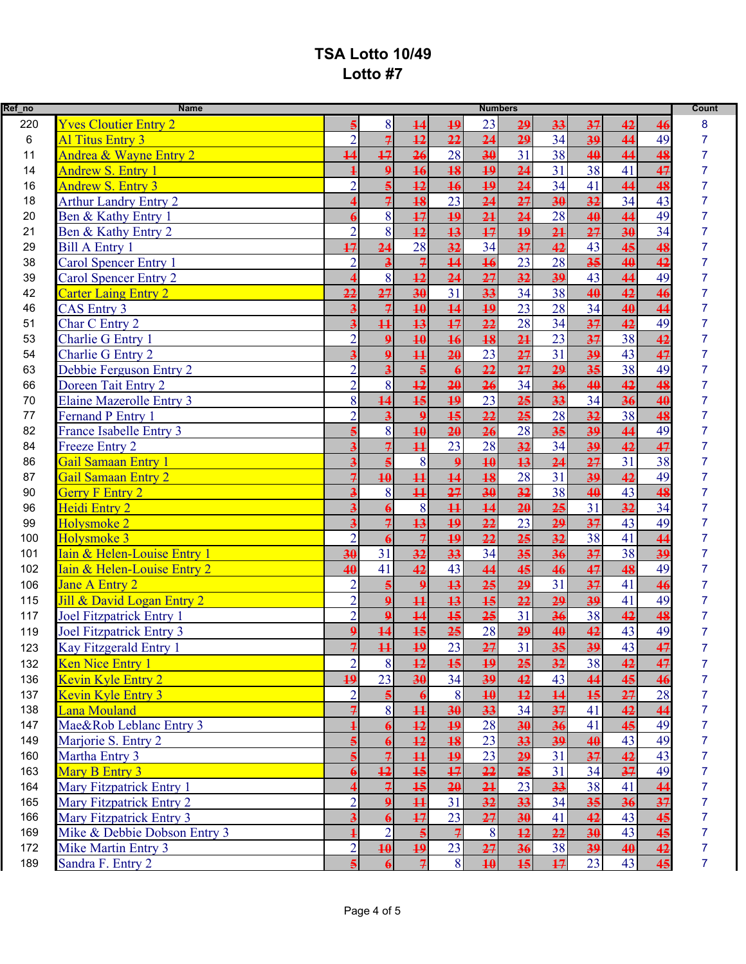| Ref_no | <b>Name</b>                     |                 |                         |                         |                       | <b>Numbers</b>  |                 |                 |                 |                 |                 | <b>Count</b>   |
|--------|---------------------------------|-----------------|-------------------------|-------------------------|-----------------------|-----------------|-----------------|-----------------|-----------------|-----------------|-----------------|----------------|
| 220    | <b>Yves Cloutier Entry 2</b>    |                 | 8                       | 14                      | $\overline{19}$       | 23              | 29              | 33              | 37              | 42              | 46              | 8              |
| 6      | <b>Al Titus Entry 3</b>         | $\overline{2}$  | $\overline{z}$          | 12                      | 22                    | 24              | 29              | 34              | 39              | 44              | 49              |                |
| 11     | Andrea & Wayne Entry 2          | $\overline{14}$ | $\overline{17}$         | 26                      | 28                    | 30              | 31              | 38              | 40              | 44              | 48              | $\overline{7}$ |
| 14     | <b>Andrew S. Entry 1</b>        |                 | $\mathbf{Q}$            | 16                      | 18                    | $\overline{19}$ | 24              | $\overline{31}$ | 38              | 41              | 47              | 7              |
| 16     | Andrew S. Entry 3               | $\overline{2}$  | $\overline{5}$          | 12                      | 16                    | $\overline{19}$ | 24              | 34              | 41              | 44              | 48              |                |
| 18     | <b>Arthur Landry Entry 2</b>    |                 | $\overline{7}$          | 18                      | 23                    | 24              | 27              | 30              | $\overline{32}$ | 34              | 43              |                |
| 20     | Ben & Kathy Entry 1             |                 | 8                       | 17                      | 19                    | 2 <sub>1</sub>  | 24              | 28              | 40              | 44              | 49              |                |
| 21     | Ben & Kathy Entry 2             | $\overline{2}$  | 8                       | 12                      | 13                    | 17              | 19              | 2 <sub>1</sub>  | 27              | 30              | 34              |                |
| 29     | <b>Bill A Entry 1</b>           | $\overline{17}$ | $\overline{24}$         | 28                      | 32                    | 34              | 37              | 42              | 43              | 45              | 48              |                |
| 38     | Carol Spencer Entry 1           | $\overline{2}$  | $\overline{\mathbf{3}}$ | 7                       | $\overline{14}$       | 16              | 23              | 28              | 35              | 40              | 42              |                |
| 39     | <b>Carol Spencer Entry 2</b>    |                 | 8                       | 12                      | $\overline{24}$       | $\overline{27}$ | $\overline{32}$ | $\overline{39}$ | 43              | 44              | 49              |                |
| 42     | <b>Carter Laing Entry 2</b>     | 22              | 27                      | 30                      | 31                    | 33              | 34              | 38              | 40              | 42              | 46              |                |
| 46     | <b>CAS Entry 3</b>              |                 | $\overline{z}$          | 10                      | $\overline{14}$       | 19              | 23              | 28              | 34              | 40              | 44              |                |
| 51     | Char C Entry 2                  |                 | $\overline{11}$         | 13                      | 17                    | $\overline{22}$ | 28              | $\overline{34}$ | 37              | 42              | 49              |                |
| 53     | Charlie G Entry 1               | $\overline{2}$  | $\mathbf{Q}$            | 40                      | 16                    | 18              | 2 <sub>1</sub>  | 23              | 37              | 38              | 42              |                |
| 54     | <b>Charlie G Entry 2</b>        |                 | $\boldsymbol{9}$        | $\overline{11}$         | 20                    | 23              | 27              | 31              | 39              | 43              | 47              |                |
| 63     | Debbie Ferguson Entry 2         | $\overline{2}$  | $\overline{\mathbf{3}}$ | $\overline{\mathbf{5}}$ | $\boldsymbol{\theta}$ | 22              | 27              | 29              | 35              | 38              | 49              |                |
| 66     | Doreen Tait Entry 2             | $\overline{2}$  | 8                       | 12                      | $\overline{20}$       | 26              | 34              | 36              | 40              | 42              | 48              |                |
| 70     | <b>Elaine Mazerolle Entry 3</b> | 8               | 14                      | 15                      | $\overline{19}$       | 23              | 25              | 33              | 34              | 36              | 40              |                |
| 77     | Fernand P Entry 1               | $\overline{2}$  | $\overline{\mathbf{3}}$ | $\Omega$                | $\overline{15}$       | 22              | 25              | 28              | 32              | 38              | 48              |                |
| 82     | France Isabelle Entry 3         |                 | 8                       | 40                      | 20                    | $\overline{26}$ | 28              | $\overline{35}$ | 39              | 44              | 49              |                |
| 84     | Freeze Entry 2                  |                 | $\overline{7}$          | $\overline{11}$         | 23                    | 28              | 32              | 34              | 39              | 42              | 47              |                |
| 86     | Gail Samaan Entry 1             |                 |                         | 8                       | $\overline{9}$        | $\overline{10}$ | 13              | $\overline{24}$ | $\overline{27}$ | 31              | 38              | 7              |
| 87     | <b>Gail Samaan Entry 2</b>      |                 | $\overline{10}$         | $\overline{11}$         | $\overline{14}$       | $\overline{18}$ | 28              | $\overline{31}$ | $\overline{39}$ | 42              | 49              | 7              |
| 90     | <b>Gerry F Entry 2</b>          |                 | 8                       | $\overline{11}$         | 27                    | $\overline{30}$ | 32              | 38              | 40              | 43              | 48              |                |
| 96     | Heidi Entry 2                   |                 |                         | 8                       | $\overline{11}$       | 14              | 20              | 25              | 31              | 32              | 34              |                |
| 99     | Holysmoke 2                     |                 | $\overline{7}$          | 13                      | $\overline{19}$       | 22              | 23              | 29              | 37              | 43              | 49              |                |
| 100    | Holysmoke 3                     | $\overline{2}$  |                         | $\overline{z}$          | 19                    | 22              | 25              | 32              | 38              | 41              | 44              |                |
| 101    | Iain & Helen-Louise Entry 1     | 30              | 31                      | $\overline{32}$         | 33                    | 34              | $\overline{35}$ | 36              | $\overline{37}$ | $\overline{38}$ | 39              |                |
| 102    | Iain & Helen-Louise Entry 2     | 40              | 41                      | 42                      | 43                    | 44              | 4 <sub>5</sub>  | 46              | 47              | 48              | 49              |                |
| 106    | <b>Jane A Entry 2</b>           |                 |                         | $\mathbf{Q}$            | $\overline{13}$       | 25              | $\overline{29}$ | 31              | 37              | 41              | 46              |                |
| 115    | Jill & David Logan Entry 2      | $\overline{2}$  | $\mathbf{Q}$            | $\overline{11}$         | 13                    | 15              | 22              | $\overline{29}$ | 39              | 41              | 49              |                |
| 117    | <b>Joel Fitzpatrick Entry 1</b> | $\overline{2}$  | $\boldsymbol{9}$        | 14                      | $\overline{15}$       | $\overline{25}$ | 31              | 36              | 38              | 42              | 48              |                |
| 119    | <b>Joel Fitzpatrick Entry 3</b> | $\mathbf{Q}$    | $\overline{14}$         | 15                      | 25                    | 28              | 29              | 40              | 42              | 43              | 49              |                |
| 123    | Kay Fitzgerald Entry 1          | $\overline{7}$  | $\overline{11}$         | $\overline{19}$         | 23                    | 27              | 31              | 35              | 39              | 43              | 47              |                |
| 132    | Ken Nice Entry 1                | $\overline{2}$  | 8                       | $\overline{12}$         | 15                    | $\overline{19}$ | $\overline{25}$ | 32              | 38              | 42              | 47              | 7              |
| 136    | Kevin Kyle Entry 2              | $\overline{19}$ | 23                      | 30                      | 34                    | 39              | 42              | 43              | 44              | 45              | 46              | 7              |
| 137    | Kevin Kyle Entry 3              | $\overline{2}$  |                         |                         | 8                     | $\overline{10}$ | 12              | $\overline{14}$ | 15              | 27              | 28              | 7              |
| 138    | Lana Mouland                    |                 | 8                       | $\overline{11}$         | 30                    | $\overline{33}$ | 34              | 37              | 41              | 42              | 44              | 7              |
| 147    | Mae&Rob Leblanc Entry 3         |                 |                         | 12                      | 19                    | 28              | 30              | 36              | 41              | 45              | 49              | 7              |
| 149    | Marjorie S. Entry 2             |                 |                         | 12                      | 18                    | 23              | 33              | 39              | 40              | 43              | 49              | 7              |
| 160    | Martha Entry 3                  |                 | $\overline{7}$          | $\overline{11}$         | $\overline{19}$       | 23              | 29              | 31              | 37              | 42              | 43              | 7              |
| 163    | Mary B Entry 3                  |                 | $\overline{12}$         | 15                      | 17                    | 22              | 25              | 31              | 34              | 37              | 49              |                |
| 164    | Mary Fitzpatrick Entry 1        |                 |                         | 15                      | 20                    | 21              | 23              | 33              | 38              | 41              | 44              | 7              |
| 165    | Mary Fitzpatrick Entry 2        | $\overline{2}$  | $\Omega$                | $\overline{11}$         | 31                    | $\overline{32}$ | $\overline{33}$ | 34              | $\overline{35}$ | 36              | $\overline{37}$ | 7              |
| 166    | Mary Fitzpatrick Entry 3        |                 |                         | 17                      | 23                    | 27              | $\overline{30}$ | 41              | 42              | 43              | 45              | 7              |
| 169    | Mike & Debbie Dobson Entry 3    |                 | $\overline{2}$          |                         | $\overline{z}$        | 8               | $\overline{12}$ | 22              | $\overline{30}$ | 43              | 45              | $\overline{7}$ |
| 172    | Mike Martin Entry 3             | $\overline{2}$  | $\overline{10}$         | 19                      | 23                    | 27              | 36              | 38              | 39              | 40              | 42              | 7              |
| 189    | Sandra F. Entry 2               |                 |                         | $\overline{z}$          | 8                     | 10              | 15              | 17              | 23              | 43              | 45              | $\overline{7}$ |
|        |                                 |                 |                         |                         |                       |                 |                 |                 |                 |                 |                 |                |